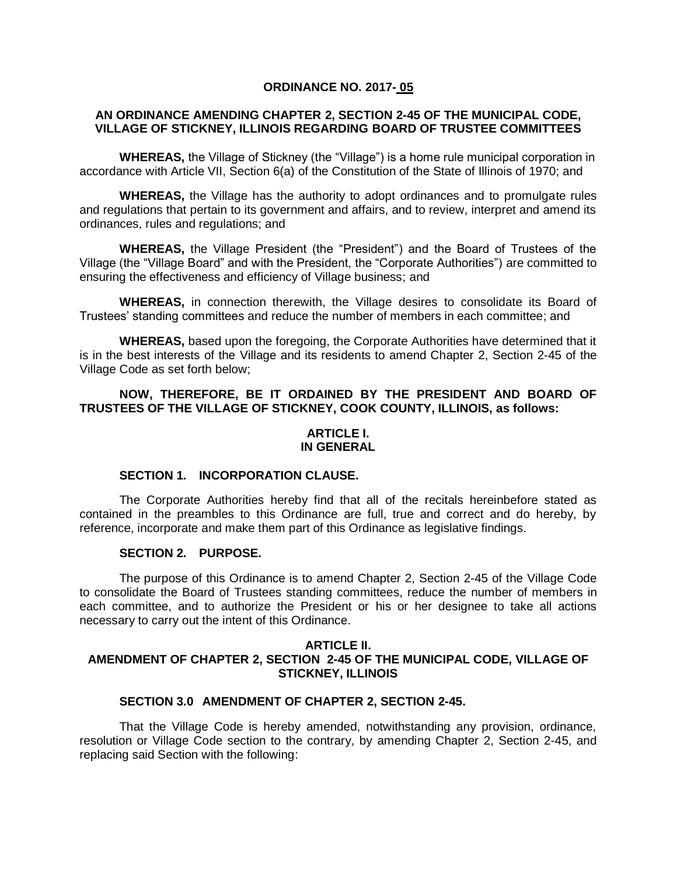## **ORDINANCE NO. 2017- 05**

## **AN ORDINANCE AMENDING CHAPTER 2, SECTION 2-45 OF THE MUNICIPAL CODE, VILLAGE OF STICKNEY, ILLINOIS REGARDING BOARD OF TRUSTEE COMMITTEES**

**WHEREAS,** the Village of Stickney (the "Village") is a home rule municipal corporation in accordance with Article VII, Section 6(a) of the Constitution of the State of Illinois of 1970; and

**WHEREAS,** the Village has the authority to adopt ordinances and to promulgate rules and regulations that pertain to its government and affairs, and to review, interpret and amend its ordinances, rules and regulations; and

**WHEREAS,** the Village President (the "President") and the Board of Trustees of the Village (the "Village Board" and with the President, the "Corporate Authorities") are committed to ensuring the effectiveness and efficiency of Village business; and

**WHEREAS,** in connection therewith, the Village desires to consolidate its Board of Trustees' standing committees and reduce the number of members in each committee; and

**WHEREAS,** based upon the foregoing, the Corporate Authorities have determined that it is in the best interests of the Village and its residents to amend Chapter 2, Section 2-45 of the Village Code as set forth below;

# **NOW, THEREFORE, BE IT ORDAINED BY THE PRESIDENT AND BOARD OF TRUSTEES OF THE VILLAGE OF STICKNEY, COOK COUNTY, ILLINOIS, as follows:**

## **ARTICLE I. IN GENERAL**

# **SECTION 1. INCORPORATION CLAUSE.**

The Corporate Authorities hereby find that all of the recitals hereinbefore stated as contained in the preambles to this Ordinance are full, true and correct and do hereby, by reference, incorporate and make them part of this Ordinance as legislative findings.

#### **SECTION 2. PURPOSE.**

The purpose of this Ordinance is to amend Chapter 2, Section 2-45 of the Village Code to consolidate the Board of Trustees standing committees, reduce the number of members in each committee, and to authorize the President or his or her designee to take all actions necessary to carry out the intent of this Ordinance.

#### **ARTICLE II. AMENDMENT OF CHAPTER 2, SECTION 2-45 OF THE MUNICIPAL CODE, VILLAGE OF STICKNEY, ILLINOIS**

#### **SECTION 3.0 AMENDMENT OF CHAPTER 2, SECTION 2-45.**

That the Village Code is hereby amended, notwithstanding any provision, ordinance, resolution or Village Code section to the contrary, by amending Chapter 2, Section 2-45, and replacing said Section with the following: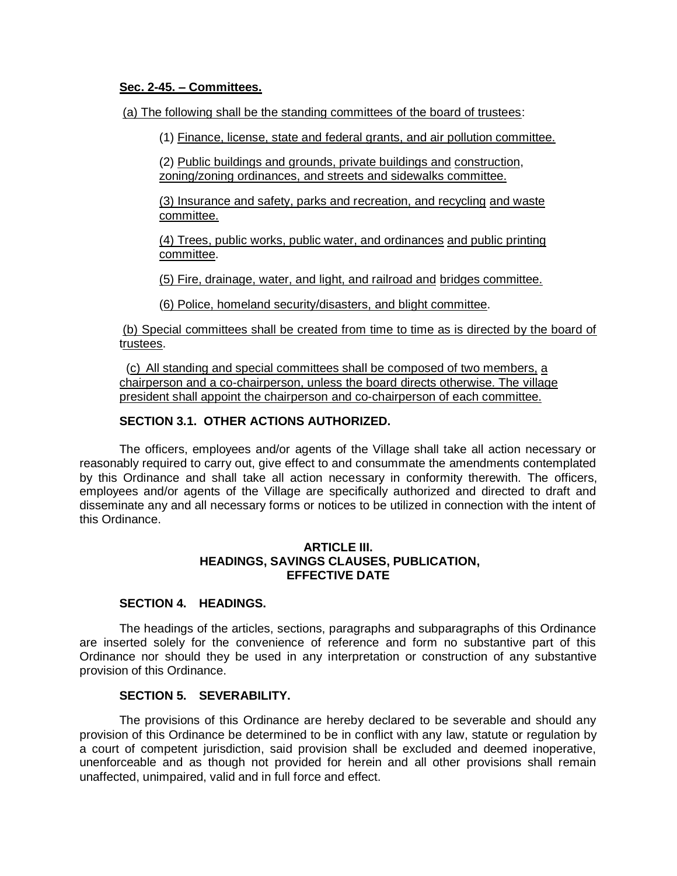#### **Sec. 2-45. – Committees.**

(a) The following shall be the standing committees of the board of trustees:

(1) Finance, license, state and federal grants, and air pollution committee.

(2) Public buildings and grounds, private buildings and construction, zoning/zoning ordinances, and streets and sidewalks committee.

(3) Insurance and safety, parks and recreation, and recycling and waste committee.

(4) Trees, public works, public water, and ordinances and public printing committee.

(5) Fire, drainage, water, and light, and railroad and bridges committee.

(6) Police, homeland security/disasters, and blight committee.

(b) Special committees shall be created from time to time as is directed by the board of trustees.

 (c) All standing and special committees shall be composed of two members, a chairperson and a co-chairperson, unless the board directs otherwise. The village president shall appoint the chairperson and co-chairperson of each committee.

# **SECTION 3.1. OTHER ACTIONS AUTHORIZED.**

The officers, employees and/or agents of the Village shall take all action necessary or reasonably required to carry out, give effect to and consummate the amendments contemplated by this Ordinance and shall take all action necessary in conformity therewith. The officers, employees and/or agents of the Village are specifically authorized and directed to draft and disseminate any and all necessary forms or notices to be utilized in connection with the intent of this Ordinance.

## **ARTICLE III. HEADINGS, SAVINGS CLAUSES, PUBLICATION, EFFECTIVE DATE**

# **SECTION 4. HEADINGS.**

The headings of the articles, sections, paragraphs and subparagraphs of this Ordinance are inserted solely for the convenience of reference and form no substantive part of this Ordinance nor should they be used in any interpretation or construction of any substantive provision of this Ordinance.

## **SECTION 5. SEVERABILITY.**

The provisions of this Ordinance are hereby declared to be severable and should any provision of this Ordinance be determined to be in conflict with any law, statute or regulation by a court of competent jurisdiction, said provision shall be excluded and deemed inoperative, unenforceable and as though not provided for herein and all other provisions shall remain unaffected, unimpaired, valid and in full force and effect.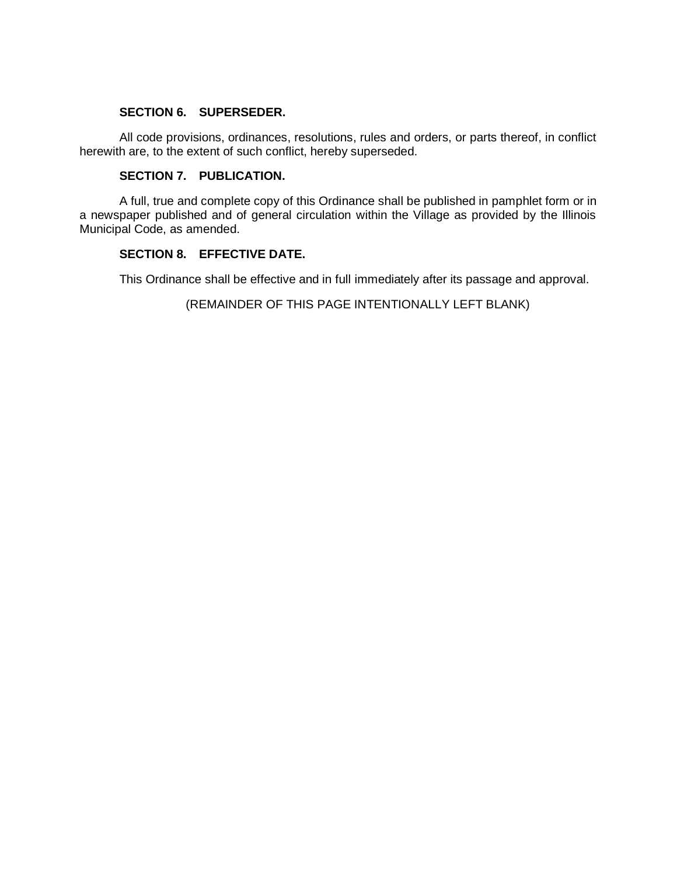# **SECTION 6. SUPERSEDER.**

All code provisions, ordinances, resolutions, rules and orders, or parts thereof, in conflict herewith are, to the extent of such conflict, hereby superseded.

## **SECTION 7. PUBLICATION.**

A full, true and complete copy of this Ordinance shall be published in pamphlet form or in a newspaper published and of general circulation within the Village as provided by the Illinois Municipal Code, as amended.

## **SECTION 8. EFFECTIVE DATE.**

This Ordinance shall be effective and in full immediately after its passage and approval.

(REMAINDER OF THIS PAGE INTENTIONALLY LEFT BLANK)